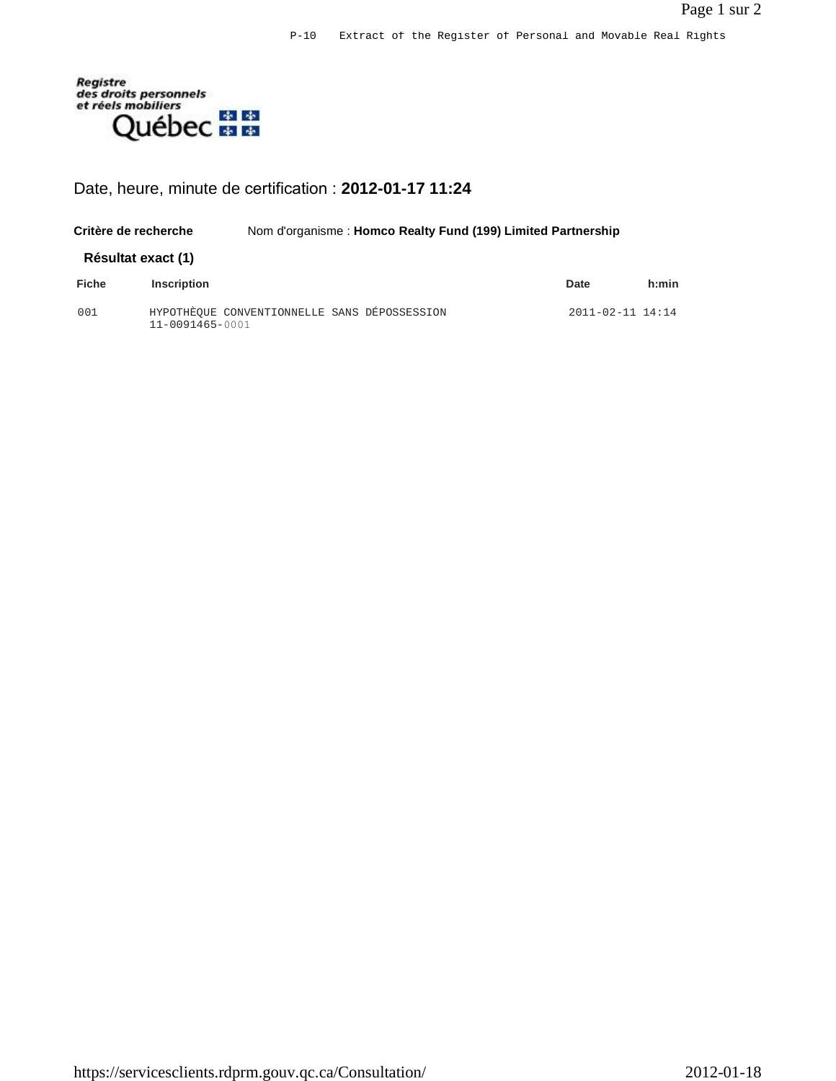

## Date, heure, minute de certification : **2012-01-17 11:24**

| Critère de recherche |                                                                 | Nom d'organisme : Homco Realty Fund (199) Limited Partnership |  |  |  |                        |       |
|----------------------|-----------------------------------------------------------------|---------------------------------------------------------------|--|--|--|------------------------|-------|
| Résultat exact (1)   |                                                                 |                                                               |  |  |  |                        |       |
| <b>Fiche</b>         | <b>Inscription</b>                                              |                                                               |  |  |  | Date                   | h:min |
| 001                  | HYPOTHEOUE CONVENTIONNELLE SANS DÉPOSSESSION<br>11-0091465-0001 |                                                               |  |  |  | $2011 - 02 - 11$ 14:14 |       |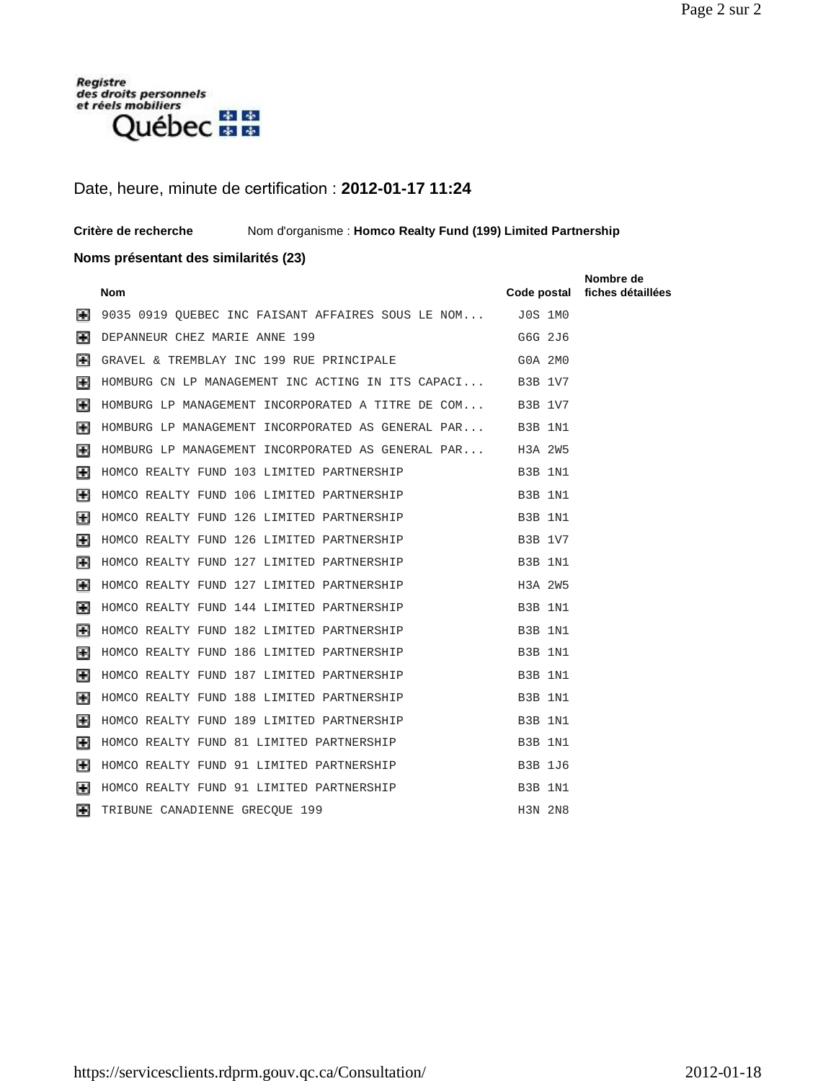

### Date, heure, minute de certification : **2012-01-17 11:24**

**Critère de recherche** Nom d'organisme : **Homco Realty Fund (199) Limited Partnership** 

#### **Noms présentant des similarités (23)**

|                | <b>Nom</b>                                                | Code postal    | Nombre de<br>fiches détaillées |
|----------------|-----------------------------------------------------------|----------------|--------------------------------|
| H              | 9035 0919 QUEBEC INC FAISANT AFFAIRES SOUS LE NOM         | J0S 1M0        |                                |
| H              | DEPANNEUR CHEZ MARIE ANNE 199                             | G6G 2J6        |                                |
| $\mathbb H$    | GRAVEL & TREMBLAY INC 199 RUE PRINCIPALE                  | G0A 2M0        |                                |
| H              | HOMBURG CN LP MANAGEMENT INC ACTING IN ITS CAPACI B3B 1V7 |                |                                |
| $\blacksquare$ | HOMBURG LP MANAGEMENT INCORPORATED A TITRE DE COM B3B 1V7 |                |                                |
| 圛              | HOMBURG LP MANAGEMENT INCORPORATED AS GENERAL PAR B3B 1N1 |                |                                |
| 圛              | HOMBURG LP MANAGEMENT INCORPORATED AS GENERAL PAR H3A 2W5 |                |                                |
| H              | HOMCO REALTY FUND 103 LIMITED PARTNERSHIP                 | B3B 1N1        |                                |
| H              | HOMCO REALTY FUND 106 LIMITED PARTNERSHIP                 | B3B 1N1        |                                |
| H              | HOMCO REALTY FUND 126 LIMITED PARTNERSHIP                 | B3B 1N1        |                                |
| H              | HOMCO REALTY FUND 126 LIMITED PARTNERSHIP                 | <b>B3B 1V7</b> |                                |
| H              | HOMCO REALTY FUND 127 LIMITED PARTNERSHIP                 | B3B 1N1        |                                |
| H              | HOMCO REALTY FUND 127 LIMITED PARTNERSHIP                 | H3A 2W5        |                                |
| H              | HOMCO REALTY FUND 144 LIMITED PARTNERSHIP                 | B3B 1N1        |                                |
| 圕              | HOMCO REALTY FUND 182 LIMITED PARTNERSHIP                 | B3B 1N1        |                                |
| Ħ              | HOMCO REALTY FUND 186 LIMITED PARTNERSHIP                 | B3B 1N1        |                                |
| Ħ              | HOMCO REALTY FUND 187 LIMITED PARTNERSHIP                 | B3B 1N1        |                                |
| 圛              | HOMCO REALTY FUND 188 LIMITED PARTNERSHIP                 | B3B 1N1        |                                |
| H              | HOMCO REALTY FUND 189 LIMITED PARTNERSHIP                 | B3B 1N1        |                                |
| н              | HOMCO REALTY FUND 81 LIMITED PARTNERSHIP                  | B3B 1N1        |                                |
| H              | HOMCO REALTY FUND 91 LIMITED PARTNERSHIP                  | <b>B3B 1J6</b> |                                |
| H              | HOMCO REALTY FUND 91 LIMITED PARTNERSHIP                  | B3B 1N1        |                                |
| H              | TRIBUNE CANADIENNE GRECQUE 199                            | H3N 2N8        |                                |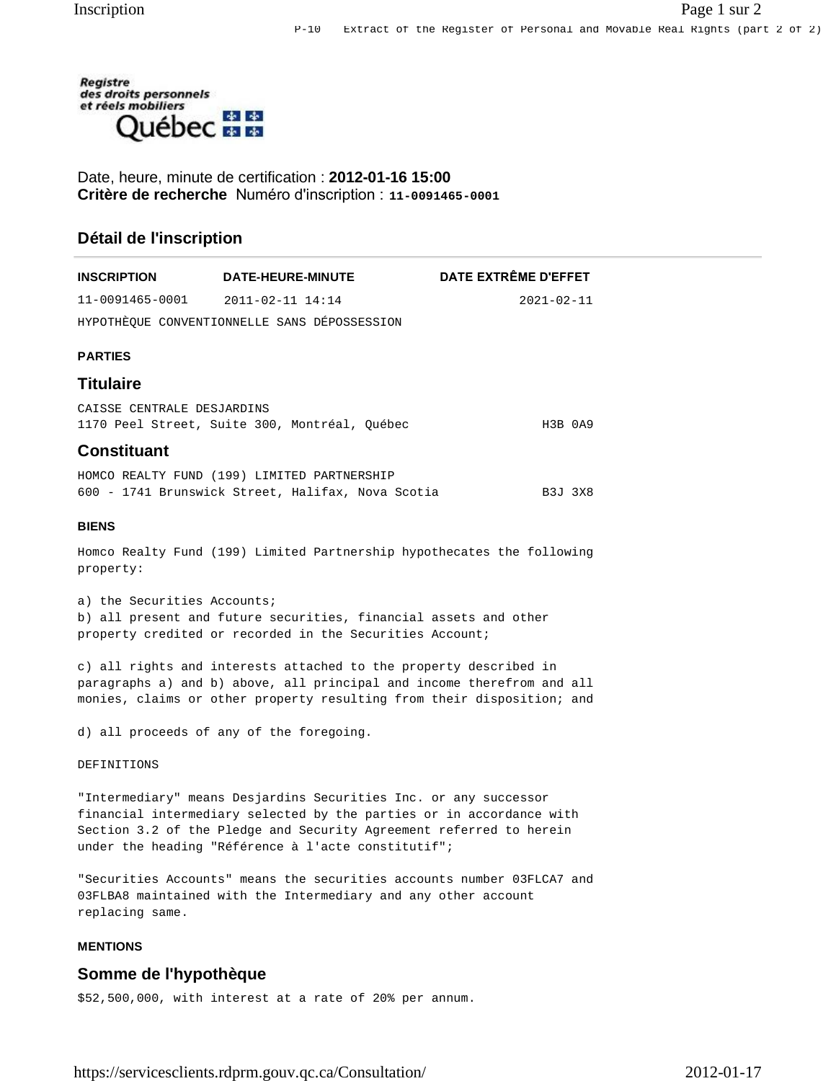

Date, heure, minute de certification : **2012-01-16 15:00 Critère de recherche** Numéro d'inscription : **11-0091465-0001**

#### **Détail de l'inscription**

| INSCRIPTION                 | <b>DATE-HEURE-MINUTE</b>                                                                                                                                                                                              | DATE EXTRÊME D'EFFET |
|-----------------------------|-----------------------------------------------------------------------------------------------------------------------------------------------------------------------------------------------------------------------|----------------------|
| 11-0091465-0001             | $2011 - 02 - 11$ 14:14                                                                                                                                                                                                | $2021 - 02 - 11$     |
|                             | HYPOTHÈQUE CONVENTIONNELLE SANS DÉPOSSESSION                                                                                                                                                                          |                      |
| <b>PARTIES</b>              |                                                                                                                                                                                                                       |                      |
| Titulaire                   |                                                                                                                                                                                                                       |                      |
| CAISSE CENTRALE DESJARDINS  | 1170 Peel Street, Suite 300, Montréal, Ouébec                                                                                                                                                                         | H3B 0A9              |
| <b>Constituant</b>          |                                                                                                                                                                                                                       |                      |
|                             | HOMCO REALTY FUND (199) LIMITED PARTNERSHIP<br>600 - 1741 Brunswick Street, Halifax, Nova Scotia                                                                                                                      | B3J 3X8              |
| <b>BIENS</b>                |                                                                                                                                                                                                                       |                      |
| property:                   | Homco Realty Fund (199) Limited Partnership hypothecates the following                                                                                                                                                |                      |
| a) the Securities Accounts; | b) all present and future securities, financial assets and other<br>property credited or recorded in the Securities Account;                                                                                          |                      |
|                             | c) all rights and interests attached to the property described in<br>paragraphs a) and b) above, all principal and income therefrom and all<br>monies, claims or other property resulting from their disposition; and |                      |

d) all proceeds of any of the foregoing.

DEFINITIONS

"Intermediary" means Desjardins Securities Inc. or any successor financial intermediary selected by the parties or in accordance with Section 3.2 of the Pledge and Security Agreement referred to herein under the heading "Référence à l'acte constitutif";

"Securities Accounts" means the securities accounts number 03FLCA7 and 03FLBA8 maintained with the Intermediary and any other account replacing same.

#### **MENTIONS**

#### **Somme de l'hypothèque**

\$52,500,000, with interest at a rate of 20% per annum.

https://servicesclients.rdprm.gouv.qc.ca/Consultation/ 2012-01-17